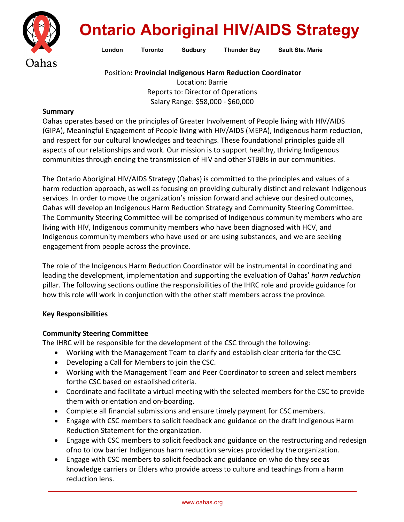

# **Ontario Aboriginal HIV/AIDS Strategy**

London Toronto Sudbury Thunder Bay Sault Ste. Marie

Position**: Provincial Indigenous Harm Reduction Coordinator**

Location: Barrie Reports to: Director of Operations Salary Range: \$58,000 - \$60,000

#### **Summary**

Oahas operates based on the principles of Greater Involvement of People living with HIV/AIDS (GIPA), Meaningful Engagement of People living with HIV/AIDS (MEPA), Indigenous harm reduction, and respect for our cultural knowledges and teachings. These foundational principles guide all aspects of our relationships and work. Our mission is to support healthy, thriving Indigenous communities through ending the transmission of HIV and other STBBIs in our communities.

The Ontario Aboriginal HIV/AIDS Strategy (Oahas) is committed to the principles and values of a harm reduction approach, as well as focusing on providing culturally distinct and relevant Indigenous services. In order to move the organization's mission forward and achieve our desired outcomes, Oahas will develop an Indigenous Harm Reduction Strategy and Community Steering Committee. The Community Steering Committee will be comprised of Indigenous community members who are living with HIV, Indigenous community members who have been diagnosed with HCV, and Indigenous community members who have used or are using substances, and we are seeking engagement from people across the province.

The role of the Indigenous Harm Reduction Coordinator will be instrumental in coordinating and leading the development, implementation and supporting the evaluation of Oahas' *harm reduction*  pillar. The following sections outline the responsibilities of the IHRC role and provide guidance for how this role will work in conjunction with the other staff members across the province.

### **Key Responsibilities**

# **Community Steering Committee**

The IHRC will be responsible for the development of the CSC through the following:

- Working with the Management Team to clarify and establish clear criteria for theCSC.
- Developing a Call for Members to join the CSC.
- Working with the Management Team and Peer Coordinator to screen and select members forthe CSC based on established criteria.
- Coordinate and facilitate a virtual meeting with the selected members for the CSC to provide them with orientation and on-boarding.
- Complete all financial submissions and ensure timely payment for CSC members.
- Engage with CSC members to solicit feedback and guidance on the draft Indigenous Harm Reduction Statement for the organization.
- Engage with CSC members to solicit feedback and guidance on the restructuring and redesign ofno to low barrier Indigenous harm reduction services provided by the organization.
- Engage with CSC members to solicit feedback and guidance on who do they seeas knowledge carriers or Elders who provide access to culture and teachings from a harm reduction lens.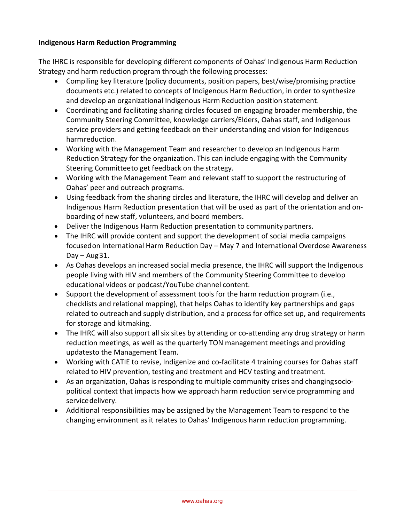## **Indigenous Harm Reduction Programming**

The IHRC is responsible for developing different components of Oahas' Indigenous Harm Reduction Strategy and harm reduction program through the following processes:

- Compiling key literature (policy documents, position papers, best/wise/promising practice documents etc.) related to concepts of Indigenous Harm Reduction, in order to synthesize and develop an organizational Indigenous Harm Reduction position statement.
- Coordinating and facilitating sharing circles focused on engaging broader membership, the Community Steering Committee, knowledge carriers/Elders, Oahas staff, and Indigenous service providers and getting feedback on their understanding and vision for Indigenous harmreduction.
- Working with the Management Team and researcher to develop an Indigenous Harm Reduction Strategy for the organization. This can include engaging with the Community Steering Committeeto get feedback on the strategy.
- Working with the Management Team and relevant staff to support the restructuring of Oahas' peer and outreach programs.
- Using feedback from the sharing circles and literature, the IHRC will develop and deliver an Indigenous Harm Reduction presentation that will be used as part of the orientation and onboarding of new staff, volunteers, and board members.
- Deliver the Indigenous Harm Reduction presentation to community partners.
- The IHRC will provide content and support the development of social media campaigns focusedon International Harm Reduction Day – May 7 and International Overdose Awareness  $Day - Aug31.$
- As Oahas develops an increased social media presence, the IHRC will support the Indigenous people living with HIV and members of the Community Steering Committee to develop educational videos or podcast/YouTube channel content.
- Support the development of assessment tools for the harm reduction program (i.e., checklists and relational mapping), that helps Oahas to identify key partnerships and gaps related to outreachand supply distribution, and a process for office set up, and requirements for storage and kitmaking.
- The IHRC will also support all six sites by attending or co-attending any drug strategy or harm reduction meetings, as well as the quarterly TON management meetings and providing updatesto the Management Team.
- Working with CATIE to revise, Indigenize and co-facilitate 4 training courses for Oahas staff related to HIV prevention, testing and treatment and HCV testing and treatment.
- As an organization, Oahas is responding to multiple community crises and changingsociopolitical context that impacts how we approach harm reduction service programming and servicedelivery.
- Additional responsibilities may be assigned by the Management Team to respond to the changing environment as it relates to Oahas' Indigenous harm reduction programming.